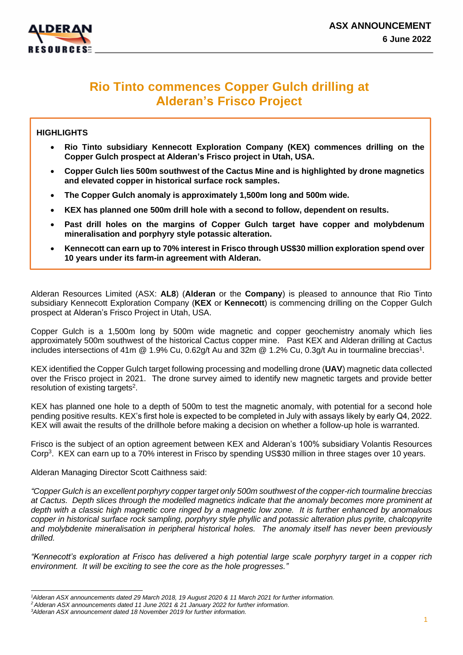



# **Rio Tinto commences Copper Gulch drilling at Alderan's Frisco Project**

#### **HIGHLIGHTS**

- **Rio Tinto subsidiary Kennecott Exploration Company (KEX) commences drilling on the Copper Gulch prospect at Alderan's Frisco project in Utah, USA.**
- **Copper Gulch lies 500m southwest of the Cactus Mine and is highlighted by drone magnetics and elevated copper in historical surface rock samples.**
- **The Copper Gulch anomaly is approximately 1,500m long and 500m wide.**
- **KEX has planned one 500m drill hole with a second to follow, dependent on results.**
- **Past drill holes on the margins of Copper Gulch target have copper and molybdenum mineralisation and porphyry style potassic alteration.**
- **Kennecott can earn up to 70% interest in Frisco through US\$30 million exploration spend over 10 years under its farm-in agreement with Alderan.**

Alderan Resources Limited (ASX: **AL8**) (**Alderan** or the **Company**) is pleased to announce that Rio Tinto subsidiary Kennecott Exploration Company (**KEX** or **Kennecott**) is commencing drilling on the Copper Gulch prospect at Alderan's Frisco Project in Utah, USA.

Copper Gulch is a 1,500m long by 500m wide magnetic and copper geochemistry anomaly which lies approximately 500m southwest of the historical Cactus copper mine. Past KEX and Alderan drilling at Cactus includes intersections of 41m @ 1.9% Cu, 0.62g/t Au and 32m @ 1.2% Cu, 0.3g/t Au in tourmaline breccias<sup>1</sup>.

KEX identified the Copper Gulch target following processing and modelling drone (**UAV**) magnetic data collected over the Frisco project in 2021. The drone survey aimed to identify new magnetic targets and provide better resolution of existing targets<sup>2</sup>.

KEX has planned one hole to a depth of 500m to test the magnetic anomaly, with potential for a second hole pending positive results. KEX's first hole is expected to be completed in July with assays likely by early Q4, 2022. KEX will await the results of the drillhole before making a decision on whether a follow-up hole is warranted.

Frisco is the subject of an option agreement between KEX and Alderan's 100% subsidiary Volantis Resources Corp<sup>3</sup>. KEX can earn up to a 70% interest in Frisco by spending US\$30 million in three stages over 10 years.

Alderan Managing Director Scott Caithness said:

*"Copper Gulch is an excellent porphyry copper target only 500m southwest of the copper-rich tourmaline breccias at Cactus. Depth slices through the modelled magnetics indicate that the anomaly becomes more prominent at depth with a classic high magnetic core ringed by a magnetic low zone. It is further enhanced by anomalous copper in historical surface rock sampling, porphyry style phyllic and potassic alteration plus pyrite, chalcopyrite and molybdenite mineralisation in peripheral historical holes. The anomaly itself has never been previously drilled.*

*"Kennecott's exploration at Frisco has delivered a high potential large scale porphyry target in a copper rich environment. It will be exciting to see the core as the hole progresses."* 

*<sup>1</sup>Alderan ASX announcements dated 29 March 2018, 19 August 2020 & 11 March 2021 for further information.*

*<sup>2</sup> Alderan ASX announcements dated 11 June 2021 & 21 January 2022 for further information.*

*<sup>3</sup>Alderan ASX announcement dated 18 November 2019 for further information.*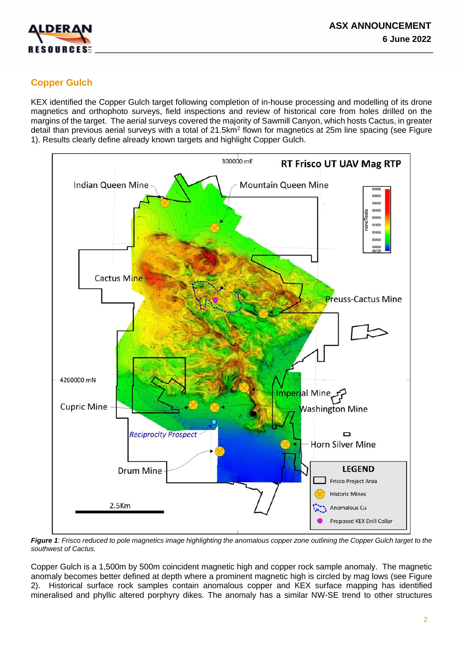

# **Copper Gulch**

KEX identified the Copper Gulch target following completion of in-house processing and modelling of its drone magnetics and orthophoto surveys, field inspections and review of historical core from holes drilled on the margins of the target. The aerial surveys covered the majority of Sawmill Canyon, which hosts Cactus, in greater detail than previous aerial surveys with a total of 21.5km<sup>2</sup> flown for magnetics at 25m line spacing (see Figure 1). Results clearly define already known targets and highlight Copper Gulch.



*Figure 1: Frisco reduced to pole magnetics image highlighting the anomalous copper zone outlining the Copper Gulch target to the southwest of Cactus.*

Copper Gulch is a 1,500m by 500m coincident magnetic high and copper rock sample anomaly. The magnetic anomaly becomes better defined at depth where a prominent magnetic high is circled by mag lows (see Figure 2). Historical surface rock samples contain anomalous copper and KEX surface mapping has identified mineralised and phyllic altered porphyry dikes. The anomaly has a similar NW-SE trend to other structures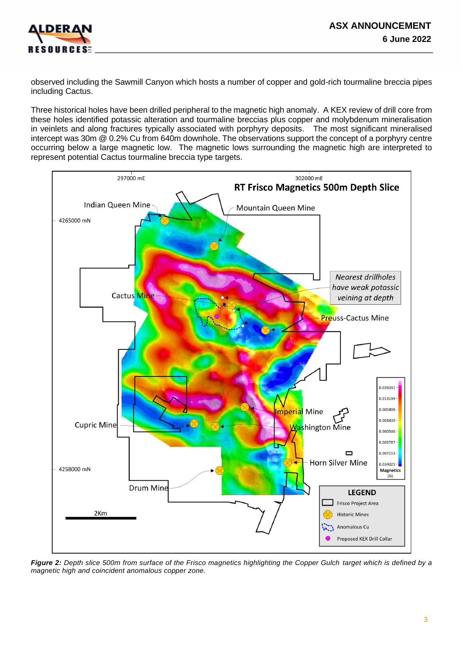

observed including the Sawmill Canyon which hosts a number of copper and gold-rich tourmaline breccia pipes including Cactus.

Three historical holes have been drilled peripheral to the magnetic high anomaly. A KEX review of drill core from these holes identified potassic alteration and tourmaline breccias plus copper and molybdenum mineralisation in veinlets and along fractures typically associated with porphyry deposits. The most significant mineralised intercept was 30m @ 0.2% Cu from 640m downhole. The observations support the concept of a porphyry centre occurring below a large magnetic low. The magnetic lows surrounding the magnetic high are interpreted to represent potential Cactus tourmaline breccia type targets.



*Figure 2: Depth slice 500m from surface of the Frisco magnetics highlighting the Copper Gulch target which is defined by a magnetic high and coincident anomalous copper zone.*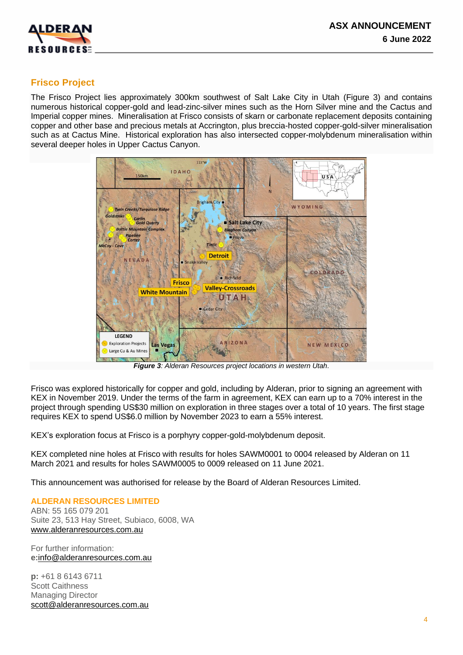

## **Frisco Project**

The Frisco Project lies approximately 300km southwest of Salt Lake City in Utah (Figure 3) and contains numerous historical copper-gold and lead-zinc-silver mines such as the Horn Silver mine and the Cactus and Imperial copper mines. Mineralisation at Frisco consists of skarn or carbonate replacement deposits containing copper and other base and precious metals at Accrington, plus breccia-hosted copper-gold-silver mineralisation such as at Cactus Mine. Historical exploration has also intersected copper-molybdenum mineralisation within several deeper holes in Upper Cactus Canyon.



*Figure 3: Alderan Resources project locations in western Utah.*

Frisco was explored historically for copper and gold, including by Alderan, prior to signing an agreement with KEX in November 2019. Under the terms of the farm in agreement, KEX can earn up to a 70% interest in the project through spending US\$30 million on exploration in three stages over a total of 10 years. The first stage requires KEX to spend US\$6.0 million by November 2023 to earn a 55% interest.

KEX's exploration focus at Frisco is a porphyry copper-gold-molybdenum deposit.

KEX completed nine holes at Frisco with results for holes SAWM0001 to 0004 released by Alderan on 11 March 2021 and results for holes SAWM0005 to 0009 released on 11 June 2021.

This announcement was authorised for release by the Board of Alderan Resources Limited.

#### **ALDERAN RESOURCES LIMITED**

ABN: 55 165 079 201 Suite 23, 513 Hay Street, Subiaco, 6008, WA [www.alderanresources.com.au](http://www.alderanresources.com.au/)

For further information: **e:**[info@alderanresources.com.au](mailto:info@alderanresources.com.au)

**p:** +61 8 6143 6711 Scott Caithness Managing Director [scott@alderanresources.com.au](mailto:scott@alderanresources.com.au)